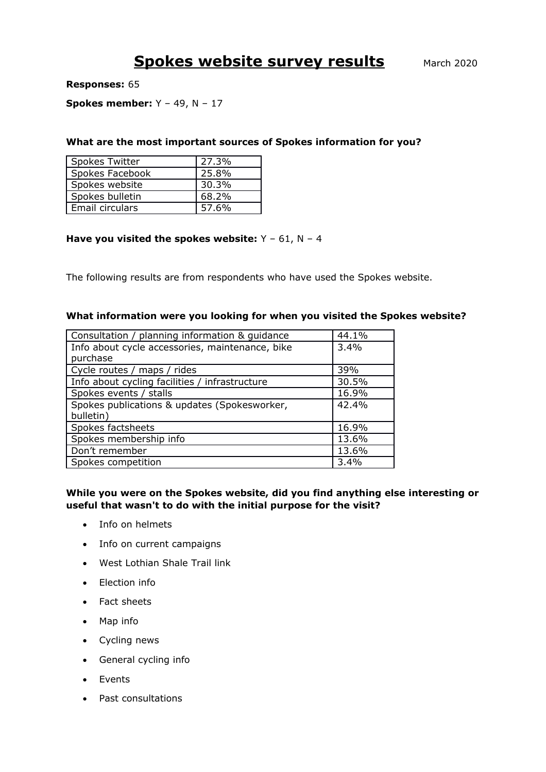# **Spokes website survey results** March 2020

**Responses:** 65

### **Spokes member:** Y – 49, N – 17

#### **What are the most important sources of Spokes information for you?**

| Spokes Twitter  | 27.3% |
|-----------------|-------|
| Spokes Facebook | 25.8% |
| Spokes website  | 30.3% |
| Spokes bulletin | 68.2% |
| Email circulars | 57.6% |

#### **Have you visited the spokes website:** Y – 61, N – 4

The following results are from respondents who have used the Spokes website.

#### **What information were you looking for when you visited the Spokes website?**

| Consultation / planning information & guidance  | 44.1% |
|-------------------------------------------------|-------|
| Info about cycle accessories, maintenance, bike | 3.4%  |
| purchase                                        |       |
| Cycle routes / maps / rides                     | 39%   |
| Info about cycling facilities / infrastructure  | 30.5% |
| Spokes events / stalls                          | 16.9% |
| Spokes publications & updates (Spokesworker,    | 42.4% |
| bulletin)                                       |       |
| Spokes factsheets                               | 16.9% |
| Spokes membership info                          | 13.6% |
| Don't remember                                  | 13.6% |
| Spokes competition                              | 3.4%  |

## **While you were on the Spokes website, did you find anything else interesting or useful that wasn't to do with the initial purpose for the visit?**

- Info on helmets
- Info on current campaigns
- West Lothian Shale Trail link
- Election info
- Fact sheets
- Map info
- Cycling news
- General cycling info
- Events
- Past consultations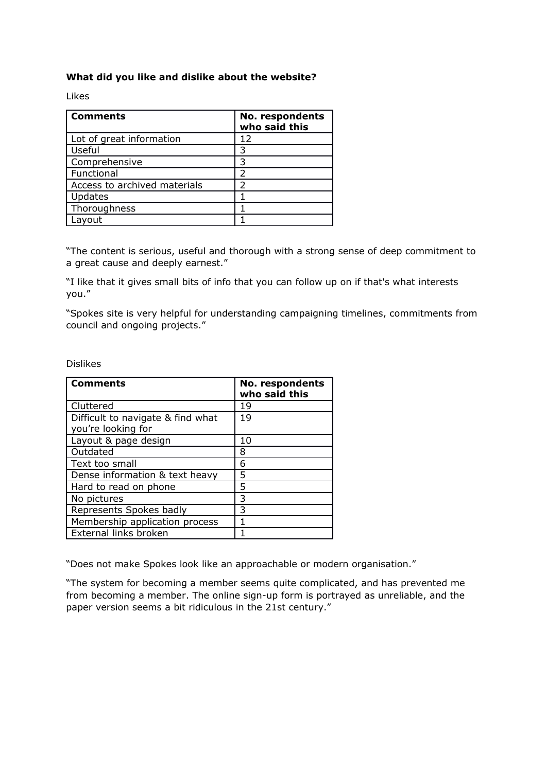## **What did you like and dislike about the website?**

Likes

| <b>Comments</b>              | No. respondents<br>who said this |
|------------------------------|----------------------------------|
| Lot of great information     | 12                               |
| Useful                       | 3                                |
| Comprehensive                | 3                                |
| Functional                   | っ                                |
| Access to archived materials | っ                                |
| Updates                      |                                  |
| Thoroughness                 |                                  |
| .avout                       |                                  |

"The content is serious, useful and thorough with a strong sense of deep commitment to a great cause and deeply earnest."

"I like that it gives small bits of info that you can follow up on if that's what interests you."

"Spokes site is very helpful for understanding campaigning timelines, commitments from council and ongoing projects."

Dislikes

| <b>Comments</b>                   | No. respondents<br>who said this |
|-----------------------------------|----------------------------------|
| Cluttered                         | 19                               |
| Difficult to navigate & find what | 19                               |
| you're looking for                |                                  |
| Layout & page design              | 10                               |
| Outdated                          | 8                                |
| Text too small                    | 6                                |
| Dense information & text heavy    | 5                                |
| Hard to read on phone             | 5                                |
| No pictures                       | 3                                |
| Represents Spokes badly           | 3                                |
| Membership application process    |                                  |
| External links broken             |                                  |

"Does not make Spokes look like an approachable or modern organisation."

"The system for becoming a member seems quite complicated, and has prevented me from becoming a member. The online sign-up form is portrayed as unreliable, and the paper version seems a bit ridiculous in the 21st century."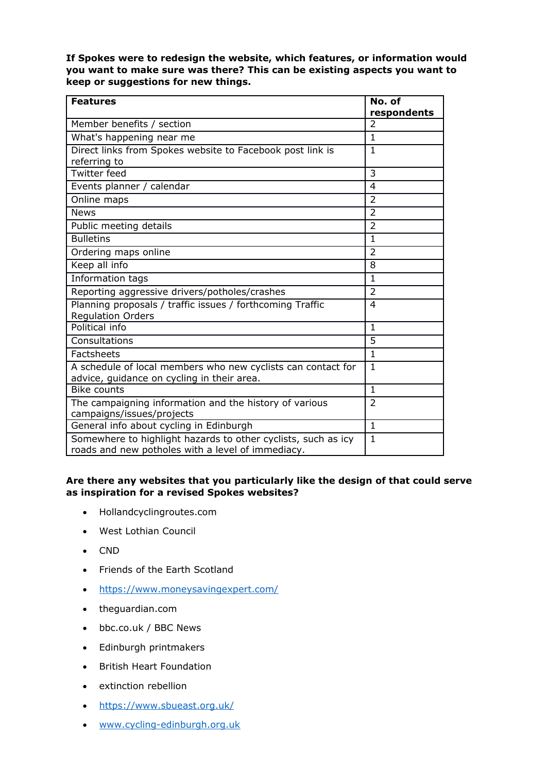**If Spokes were to redesign the website, which features, or information would you want to make sure was there? This can be existing aspects you want to keep or suggestions for new things.**

| <b>Features</b>                                                                                                    | No. of<br>respondents |
|--------------------------------------------------------------------------------------------------------------------|-----------------------|
| Member benefits / section                                                                                          | 2                     |
| What's happening near me                                                                                           | $\mathbf{1}$          |
| Direct links from Spokes website to Facebook post link is<br>referring to                                          | $\mathbf{1}$          |
| <b>Twitter feed</b>                                                                                                | 3                     |
| Events planner / calendar                                                                                          | 4                     |
| Online maps                                                                                                        | $\overline{2}$        |
| <b>News</b>                                                                                                        | $\overline{2}$        |
| Public meeting details                                                                                             | $\overline{2}$        |
| <b>Bulletins</b>                                                                                                   | $\mathbf{1}$          |
| Ordering maps online                                                                                               | $\overline{2}$        |
| Keep all info                                                                                                      | 8                     |
| Information tags                                                                                                   | $\mathbf{1}$          |
| Reporting aggressive drivers/potholes/crashes                                                                      | $\overline{2}$        |
| Planning proposals / traffic issues / forthcoming Traffic<br><b>Regulation Orders</b>                              | 4                     |
| Political info                                                                                                     | $\mathbf{1}$          |
| Consultations                                                                                                      | 5                     |
| Factsheets                                                                                                         | $\mathbf{1}$          |
| A schedule of local members who new cyclists can contact for<br>advice, guidance on cycling in their area.         | $\mathbf{1}$          |
| <b>Bike counts</b>                                                                                                 | $\mathbf{1}$          |
| The campaigning information and the history of various<br>campaigns/issues/projects                                | $\overline{2}$        |
| General info about cycling in Edinburgh                                                                            | $\mathbf{1}$          |
| Somewhere to highlight hazards to other cyclists, such as icy<br>roads and new potholes with a level of immediacy. | $\mathbf{1}$          |

## **Are there any websites that you particularly like the design of that could serve as inspiration for a revised Spokes websites?**

- Hollandcyclingroutes.com
- West Lothian Council
- CND
- Friends of the Earth Scotland
- <https://www.moneysavingexpert.com/>
- theguardian.com
- bbc.co.uk / BBC News
- Edinburgh printmakers
- British Heart Foundation
- extinction rebellion
- <https://www.sbueast.org.uk/>
- [www.cycling-edinburgh.org.uk](http://www.cycling-edinburgh.org.uk/)